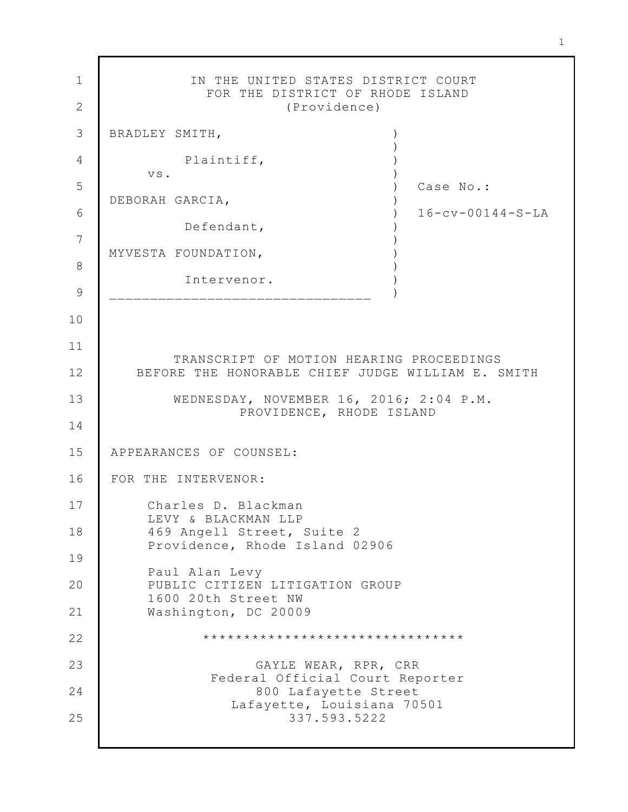1 2 3 4 5 6 7 8 9 10 11 12 13 14 15 16 17 18 19 20 21 22 23 24 25 IN THE UNITED STATES DISTRICT COURT FOR THE DISTRICT OF RHODE ISLAND (Providence) BRADLEY SMITH, Plaintiff, vs. DEBORAH GARCIA, Defendant, MYVESTA FOUNDATION, Intervenor. \_\_\_\_\_\_\_\_\_\_\_\_\_\_\_\_\_\_\_\_\_\_\_\_\_\_\_\_\_\_\_\_ )  $\left( \right)$ )  $\lambda$  $)$ )  $\left( \right)$ )  $\lambda$  $\lambda$ ) ) ) Case No.: 16-cv-00144-S-LA TRANSCRIPT OF MOTION HEARING PROCEEDINGS BEFORE THE HONORABLE CHIEF JUDGE WILLIAM E. SMITH WEDNESDAY, NOVEMBER 16, 2016; 2:04 P.M. PROVIDENCE, RHODE ISLAND APPEARANCES OF COUNSEL: FOR THE INTERVENOR: Charles D. Blackman LEVY & BLACKMAN LLP 469 Angell Street, Suite 2 Providence, Rhode Island 02906 Paul Alan Levy PUBLIC CITIZEN LITIGATION GROUP 1600 20th Street NW Washington, DC 20009 \*\*\*\*\*\*\*\*\*\*\*\*\*\*\*\*\*\*\*\*\*\*\*\*\*\*\*\*\*\*\*\* GAYLE WEAR, RPR, CRR Federal Official Court Reporter 800 Lafayette Street Lafayette, Louisiana 70501 337.593.5222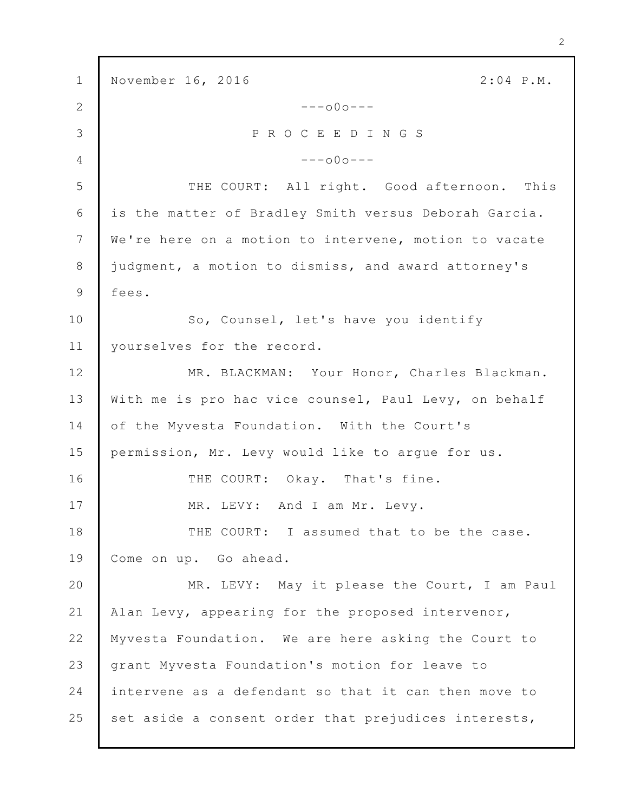1 2 3 4 5 6 7 8 9 10 11 12 13 14 15 16 17 18 19 20 21 22 23 24 25 November 16, 2016 2:04 P.M. ---o0o--- P R O C E E D I N G S ---o0o--- THE COURT: All right. Good afternoon. This is the matter of Bradley Smith versus Deborah Garcia. We're here on a motion to intervene, motion to vacate judgment, a motion to dismiss, and award attorney's fees. So, Counsel, let's have you identify yourselves for the record. MR. BLACKMAN: Your Honor, Charles Blackman. With me is pro hac vice counsel, Paul Levy, on behalf of the Myvesta Foundation. With the Court's permission, Mr. Levy would like to argue for us. THE COURT: Okay. That's fine. MR. LEVY: And I am Mr. Levy. THE COURT: I assumed that to be the case. Come on up. Go ahead. MR. LEVY: May it please the Court, I am Paul Alan Levy, appearing for the proposed intervenor, Myvesta Foundation. We are here asking the Court to grant Myvesta Foundation's motion for leave to intervene as a defendant so that it can then move to set aside a consent order that prejudices interests,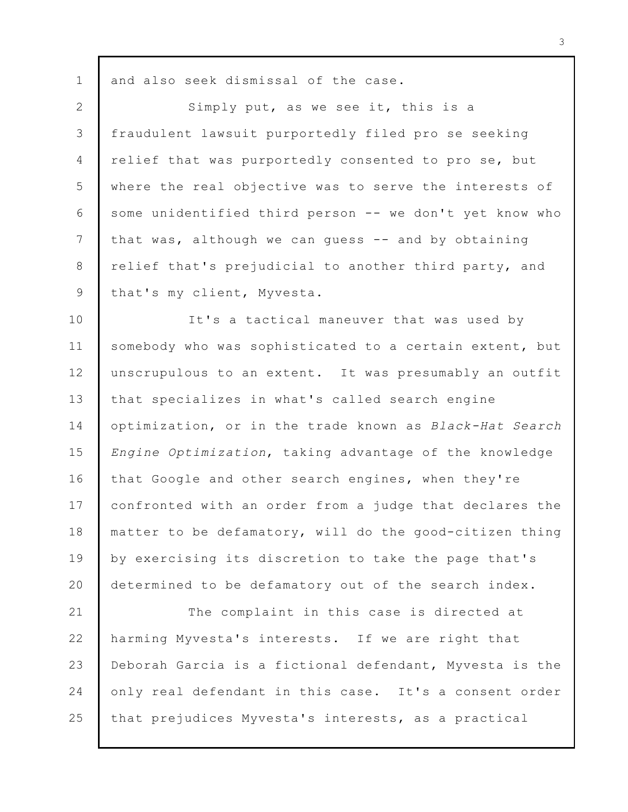1 and also seek dismissal of the case.

2 3 4 5 6 7 8 9 Simply put, as we see it, this is a fraudulent lawsuit purportedly filed pro se seeking relief that was purportedly consented to pro se, but where the real objective was to serve the interests of some unidentified third person -- we don't yet know who that was, although we can guess -- and by obtaining relief that's prejudicial to another third party, and that's my client, Myvesta.

10 11 12 13 14 15 16 17 18 19  $20$ It's a tactical maneuver that was used by somebody who was sophisticated to a certain extent, but unscrupulous to an extent. It was presumably an outfit that specializes in what's called search engine optimization, or in the trade known as *Black-Hat Search Engine Optimization*, taking advantage of the knowledge that Google and other search engines, when they're confronted with an order from a judge that declares the matter to be defamatory, will do the good-citizen thing by exercising its discretion to take the page that's determined to be defamatory out of the search index.

21 22 23 24 25 The complaint in this case is directed at harming Myvesta's interests. If we are right that Deborah Garcia is a fictional defendant, Myvesta is the only real defendant in this case. It's a consent order that prejudices Myvesta's interests, as a practical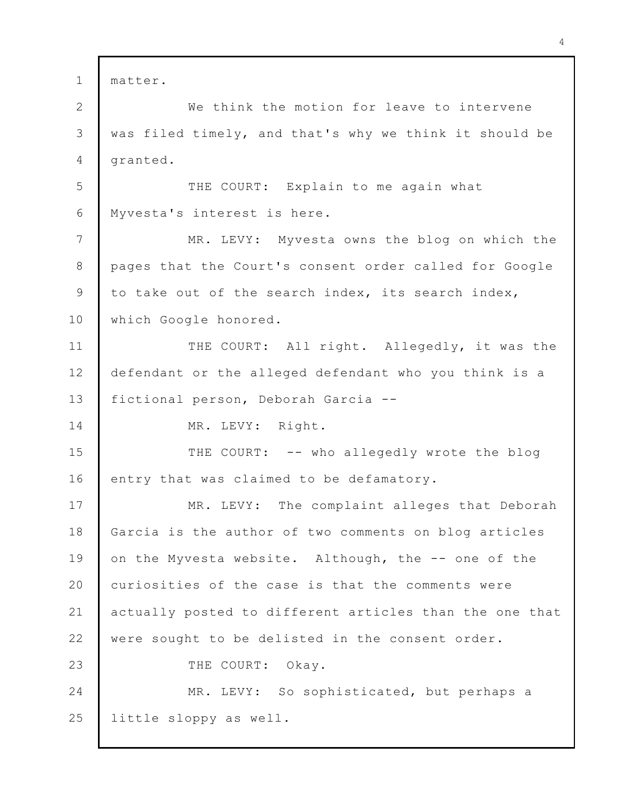| $\mathbf{1}$   | matter.                                                 |
|----------------|---------------------------------------------------------|
| $\overline{2}$ | We think the motion for leave to intervene              |
| 3              | was filed timely, and that's why we think it should be  |
| 4              | granted.                                                |
| 5              | THE COURT: Explain to me again what                     |
| 6              | Myvesta's interest is here.                             |
| $7\phantom{.}$ | MR. LEVY: Myvesta owns the blog on which the            |
| 8              | pages that the Court's consent order called for Google  |
| 9              | to take out of the search index, its search index,      |
| 10             | which Google honored.                                   |
| 11             | THE COURT: All right. Allegedly, it was the             |
| 12             | defendant or the alleged defendant who you think is a   |
| 13             | fictional person, Deborah Garcia --                     |
| 14             | MR. LEVY: Right.                                        |
| 15             | THE COURT: -- who allegedly wrote the blog              |
| 16             | entry that was claimed to be defamatory.                |
| 17             | MR. LEVY: The complaint alleges that Deborah            |
| 18             | Garcia is the author of two comments on blog articles   |
| 19             | on the Myvesta website. Although, the -- one of the     |
| 20             | curiosities of the case is that the comments were       |
| 21             | actually posted to different articles than the one that |
| 22             | were sought to be delisted in the consent order.        |
| 23             | THE COURT: Okay.                                        |
| 24             | MR. LEVY: So sophisticated, but perhaps a               |
| 25             | little sloppy as well.                                  |
|                |                                                         |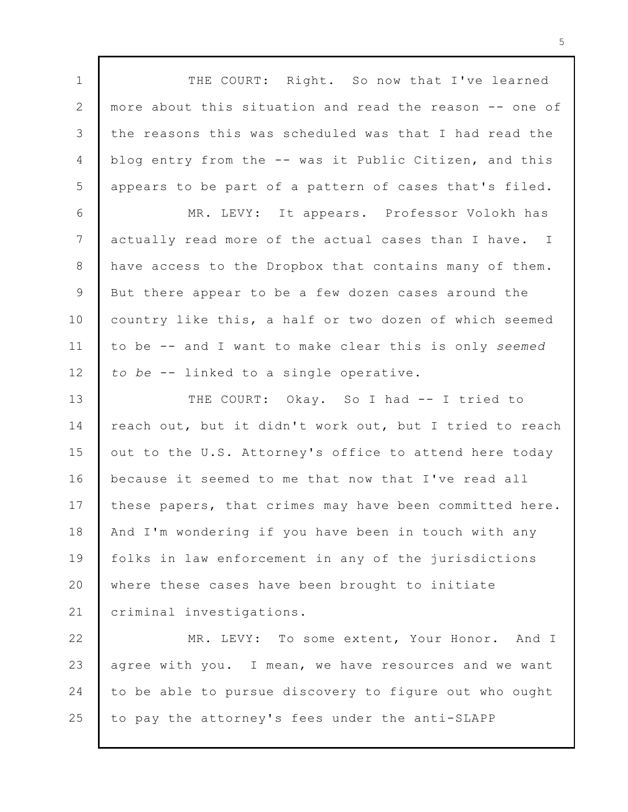1 2 3 4 5 6 7 8 9 10 11 12 13 14 15 16 17 18 19 20 21 22 23 24 25 THE COURT: Right. So now that I've learned more about this situation and read the reason -- one of the reasons this was scheduled was that I had read the blog entry from the -- was it Public Citizen, and this appears to be part of a pattern of cases that's filed. MR. LEVY: It appears. Professor Volokh has actually read more of the actual cases than I have. I have access to the Dropbox that contains many of them. But there appear to be a few dozen cases around the country like this, a half or two dozen of which seemed to be -- and I want to make clear this is only *seemed to be* -- linked to a single operative. THE COURT: Okay. So I had -- I tried to reach out, but it didn't work out, but I tried to reach out to the U.S. Attorney's office to attend here today because it seemed to me that now that I've read all these papers, that crimes may have been committed here. And I'm wondering if you have been in touch with any folks in law enforcement in any of the jurisdictions where these cases have been brought to initiate criminal investigations. MR. LEVY: To some extent, Your Honor. And I agree with you. I mean, we have resources and we want to be able to pursue discovery to figure out who ought to pay the attorney's fees under the anti-SLAPP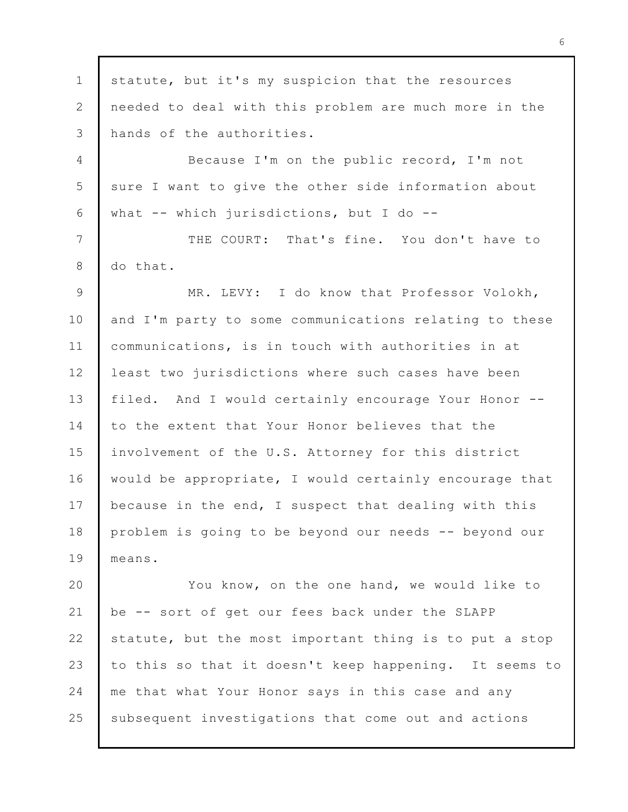1 2 3 4 5 6 7 8 9 10 11 12 13 14 15 16 17 18 19 20 21 22 23 24 25 statute, but it's my suspicion that the resources needed to deal with this problem are much more in the hands of the authorities. Because I'm on the public record, I'm not sure I want to give the other side information about what  $--$  which jurisdictions, but I do  $--$ THE COURT: That's fine. You don't have to do that. MR. LEVY: I do know that Professor Volokh, and I'm party to some communications relating to these communications, is in touch with authorities in at least two jurisdictions where such cases have been filed. And I would certainly encourage Your Honor - to the extent that Your Honor believes that the involvement of the U.S. Attorney for this district would be appropriate, I would certainly encourage that because in the end, I suspect that dealing with this problem is going to be beyond our needs -- beyond our means. You know, on the one hand, we would like to be -- sort of get our fees back under the SLAPP statute, but the most important thing is to put a stop to this so that it doesn't keep happening. It seems to me that what Your Honor says in this case and any subsequent investigations that come out and actions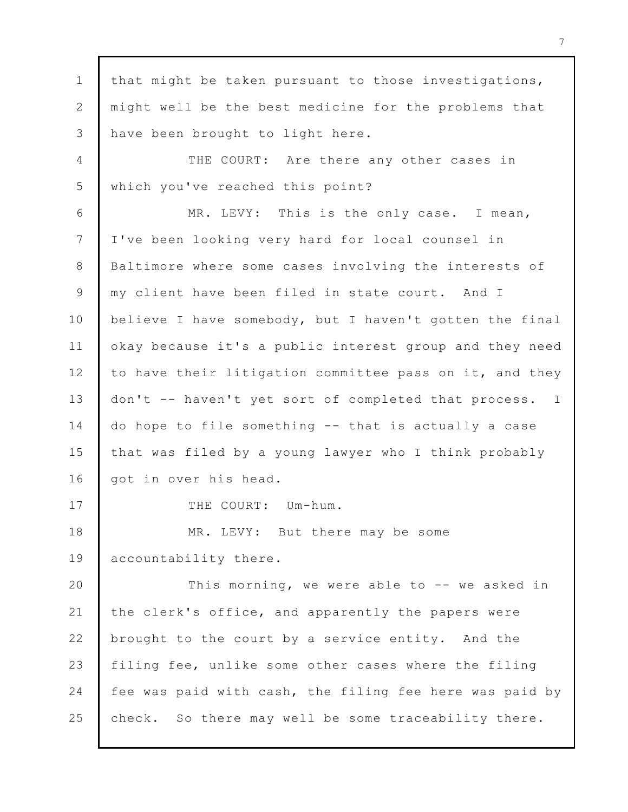1 2 3 4 5 6 7 8 9 10 11 12 13 14 15 16 17 18 19 20 21 22 23 24 25 that might be taken pursuant to those investigations, might well be the best medicine for the problems that have been brought to light here. THE COURT: Are there any other cases in which you've reached this point? MR. LEVY: This is the only case. I mean, I've been looking very hard for local counsel in Baltimore where some cases involving the interests of my client have been filed in state court. And I believe I have somebody, but I haven't gotten the final okay because it's a public interest group and they need to have their litigation committee pass on it, and they don't -- haven't yet sort of completed that process. I do hope to file something -- that is actually a case that was filed by a young lawyer who I think probably got in over his head. THE COURT: Um-hum. MR. LEVY: But there may be some accountability there. This morning, we were able to -- we asked in the clerk's office, and apparently the papers were brought to the court by a service entity. And the filing fee, unlike some other cases where the filing fee was paid with cash, the filing fee here was paid by check. So there may well be some traceability there.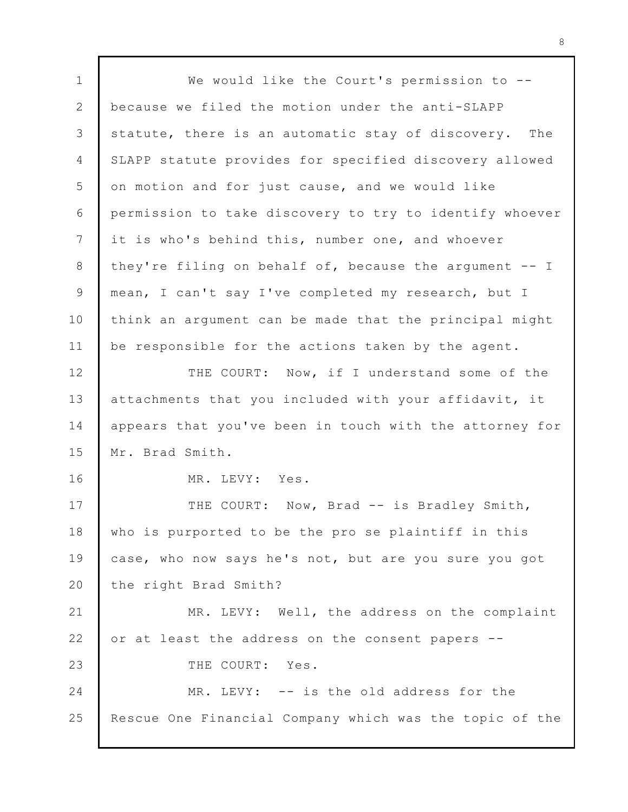1 2 3 4 5 6 7 8 9 10 11 12 13 14 15 16 17 18 19  $20$ 21 22 23 24 25 We would like the Court's permission to -because we filed the motion under the anti-SLAPP statute, there is an automatic stay of discovery. The SLAPP statute provides for specified discovery allowed on motion and for just cause, and we would like permission to take discovery to try to identify whoever it is who's behind this, number one, and whoever they're filing on behalf of, because the argument  $-$ - I mean, I can't say I've completed my research, but I think an argument can be made that the principal might be responsible for the actions taken by the agent. THE COURT: Now, if I understand some of the attachments that you included with your affidavit, it appears that you've been in touch with the attorney for Mr. Brad Smith. MR. LEVY: Yes. THE COURT: Now, Brad -- is Bradley Smith, who is purported to be the pro se plaintiff in this case, who now says he's not, but are you sure you got the right Brad Smith? MR. LEVY: Well, the address on the complaint or at least the address on the consent papers -- THE COURT: Yes. MR. LEVY: -- is the old address for the Rescue One Financial Company which was the topic of the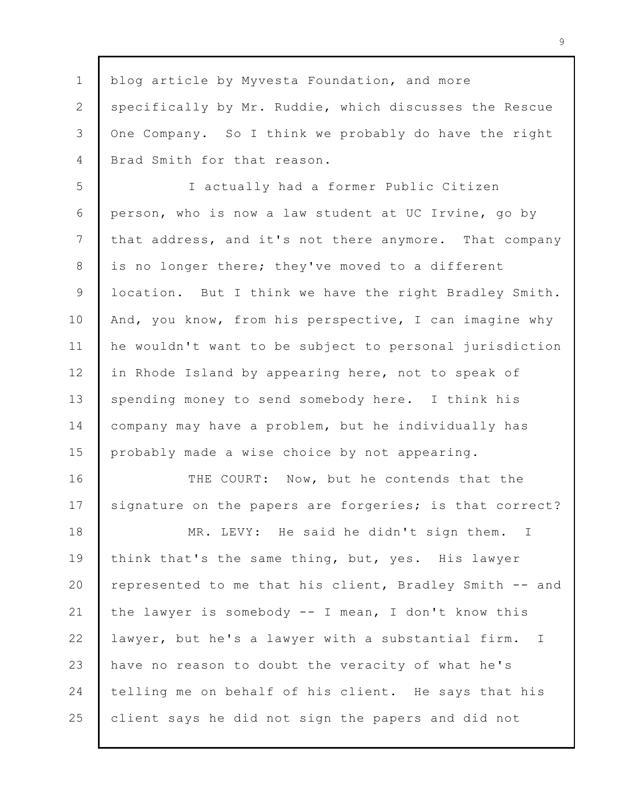1 2 3 4 blog article by Myvesta Foundation, and more specifically by Mr. Ruddie, which discusses the Rescue One Company. So I think we probably do have the right Brad Smith for that reason.

5 6 7 8 9 10 11 12 13 14 15 I actually had a former Public Citizen person, who is now a law student at UC Irvine, go by that address, and it's not there anymore. That company is no longer there; they've moved to a different location. But I think we have the right Bradley Smith. And, you know, from his perspective, I can imagine why he wouldn't want to be subject to personal jurisdiction in Rhode Island by appearing here, not to speak of spending money to send somebody here. I think his company may have a problem, but he individually has probably made a wise choice by not appearing.

16 17 THE COURT: Now, but he contends that the signature on the papers are forgeries; is that correct?

18 19 20 21 22 23 24 25 MR. LEVY: He said he didn't sign them. I think that's the same thing, but, yes. His lawyer represented to me that his client, Bradley Smith -- and the lawyer is somebody -- I mean, I don't know this lawyer, but he's a lawyer with a substantial firm. I have no reason to doubt the veracity of what he's telling me on behalf of his client. He says that his client says he did not sign the papers and did not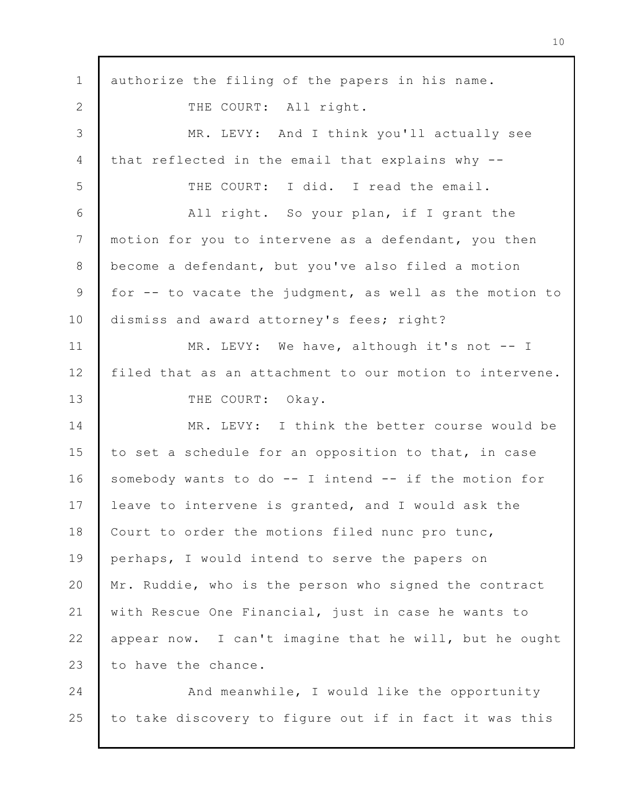1 2 3 4 5 6 7 8 9 10 11 12 13 14 15 16 17 18 19 20 21 22 23 24 25 authorize the filing of the papers in his name. THE COURT: All right. MR. LEVY: And I think you'll actually see that reflected in the email that explains why -- THE COURT: I did. I read the email. All right. So your plan, if I grant the motion for you to intervene as a defendant, you then become a defendant, but you've also filed a motion for -- to vacate the judgment, as well as the motion to dismiss and award attorney's fees; right? MR. LEVY: We have, although it's not -- I filed that as an attachment to our motion to intervene. THE COURT: Okay. MR. LEVY: I think the better course would be to set a schedule for an opposition to that, in case somebody wants to do -- I intend -- if the motion for leave to intervene is granted, and I would ask the Court to order the motions filed nunc pro tunc, perhaps, I would intend to serve the papers on Mr. Ruddie, who is the person who signed the contract with Rescue One Financial, just in case he wants to appear now. I can't imagine that he will, but he ought to have the chance. And meanwhile, I would like the opportunity to take discovery to figure out if in fact it was this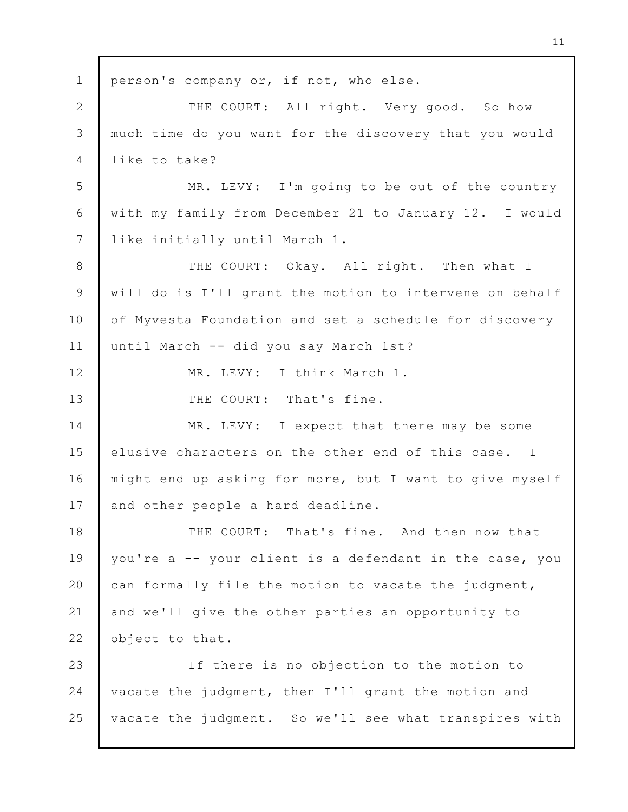1 2 3 4 5 6 7 8 9 10 11 12 13 14 15 16 17 18 19 20 21 22 23 24 25 person's company or, if not, who else. THE COURT: All right. Very good. So how much time do you want for the discovery that you would like to take? MR. LEVY: I'm going to be out of the country with my family from December 21 to January 12. I would like initially until March 1. THE COURT: Okay. All right. Then what I will do is I'll grant the motion to intervene on behalf of Myvesta Foundation and set a schedule for discovery until March -- did you say March 1st? MR. LEVY: I think March 1. THE COURT: That's fine. MR. LEVY: I expect that there may be some elusive characters on the other end of this case. I might end up asking for more, but I want to give myself and other people a hard deadline. THE COURT: That's fine. And then now that you're a -- your client is a defendant in the case, you can formally file the motion to vacate the judgment, and we'll give the other parties an opportunity to object to that. If there is no objection to the motion to vacate the judgment, then I'll grant the motion and vacate the judgment. So we'll see what transpires with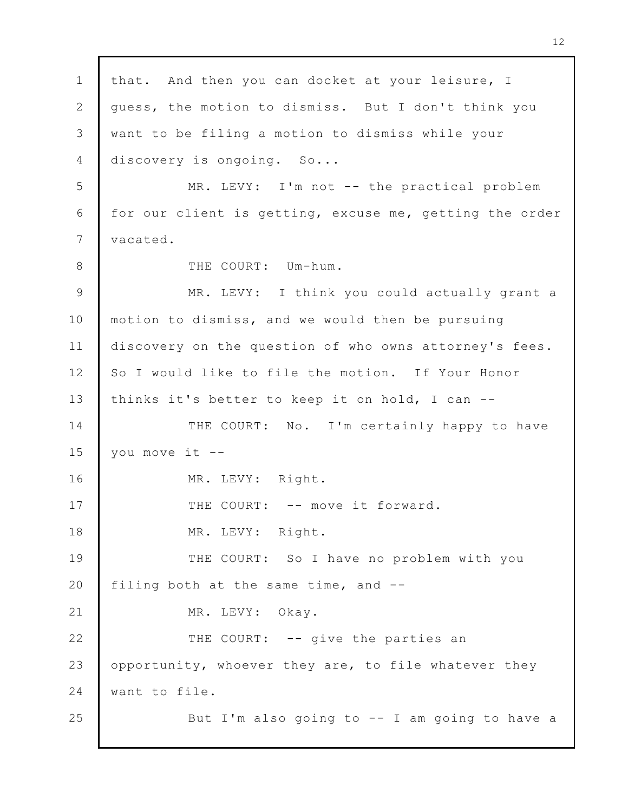1 2 3 4 5 6 7 8 9 10 11 12 13 14 15 16 17 18 19 20 21 22 23 24 25 that. And then you can docket at your leisure, I guess, the motion to dismiss. But I don't think you want to be filing a motion to dismiss while your discovery is ongoing. So... MR. LEVY: I'm not -- the practical problem for our client is getting, excuse me, getting the order vacated. THE COURT: Um-hum. MR. LEVY: I think you could actually grant a motion to dismiss, and we would then be pursuing discovery on the question of who owns attorney's fees. So I would like to file the motion. If Your Honor thinks it's better to keep it on hold, I can -- THE COURT: No. I'm certainly happy to have you move it -- MR. LEVY: Right. THE COURT: -- move it forward. MR. LEVY: Right. THE COURT: So I have no problem with you filing both at the same time, and -- MR. LEVY: Okay. THE COURT: -- give the parties an opportunity, whoever they are, to file whatever they want to file. But I'm also going to  $-$ - I am going to have a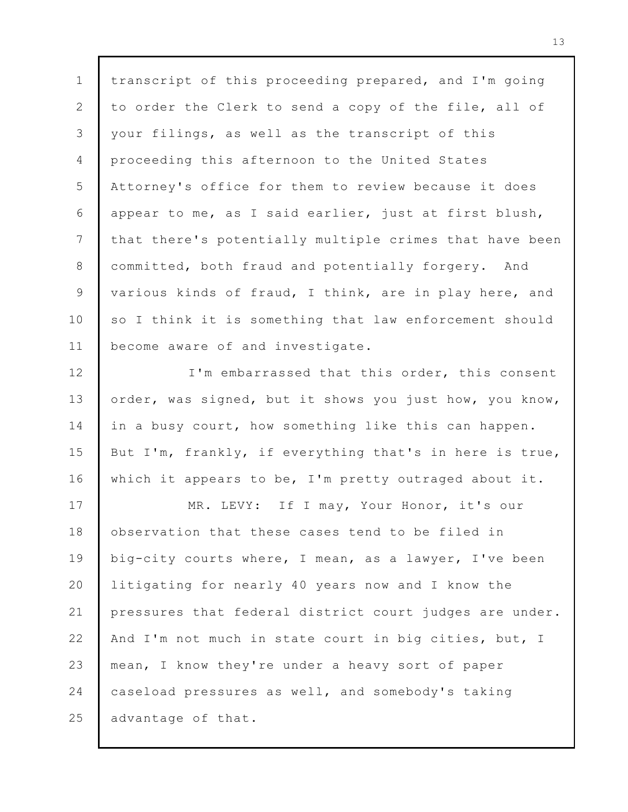1 2 3 4 5 6 7 8 9 10 11 transcript of this proceeding prepared, and I'm going to order the Clerk to send a copy of the file, all of your filings, as well as the transcript of this proceeding this afternoon to the United States Attorney's office for them to review because it does appear to me, as I said earlier, just at first blush, that there's potentially multiple crimes that have been committed, both fraud and potentially forgery. And various kinds of fraud, I think, are in play here, and so I think it is something that law enforcement should become aware of and investigate.

12 13 14 15 16 I'm embarrassed that this order, this consent order, was signed, but it shows you just how, you know, in a busy court, how something like this can happen. But I'm, frankly, if everything that's in here is true, which it appears to be, I'm pretty outraged about it.

17 18 19 20 21 22 23 24 25 MR. LEVY: If I may, Your Honor, it's our observation that these cases tend to be filed in big-city courts where, I mean, as a lawyer, I've been litigating for nearly 40 years now and I know the pressures that federal district court judges are under. And I'm not much in state court in big cities, but, I mean, I know they're under a heavy sort of paper caseload pressures as well, and somebody's taking advantage of that.